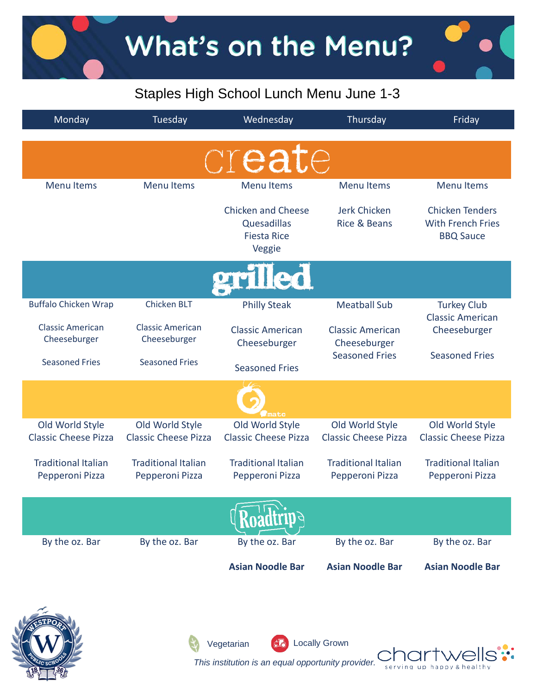

| Monday                                         | Tuesday                                        | Wednesday                                                                | Thursday                                       | Friday                                                                 |
|------------------------------------------------|------------------------------------------------|--------------------------------------------------------------------------|------------------------------------------------|------------------------------------------------------------------------|
|                                                |                                                | create                                                                   |                                                |                                                                        |
| <b>Menu Items</b>                              | <b>Menu Items</b>                              | <b>Menu Items</b>                                                        | <b>Menu Items</b>                              | <b>Menu Items</b>                                                      |
|                                                |                                                | <b>Chicken and Cheese</b><br>Quesadillas<br><b>Fiesta Rice</b><br>Veggie | Jerk Chicken<br><b>Rice &amp; Beans</b>        | <b>Chicken Tenders</b><br><b>With French Fries</b><br><b>BBQ Sauce</b> |
|                                                |                                                | grilled                                                                  |                                                |                                                                        |
| <b>Buffalo Chicken Wrap</b>                    | <b>Chicken BLT</b>                             | <b>Philly Steak</b>                                                      | <b>Meatball Sub</b>                            | <b>Turkey Club</b><br><b>Classic American</b>                          |
| <b>Classic American</b><br>Cheeseburger        | <b>Classic American</b><br>Cheeseburger        | <b>Classic American</b><br>Cheeseburger                                  | <b>Classic American</b><br>Cheeseburger        | Cheeseburger                                                           |
| <b>Seasoned Fries</b>                          | <b>Seasoned Fries</b>                          | <b>Seasoned Fries</b>                                                    | <b>Seasoned Fries</b>                          | <b>Seasoned Fries</b>                                                  |
|                                                |                                                | mato                                                                     |                                                |                                                                        |
| Old World Style<br><b>Classic Cheese Pizza</b> | Old World Style<br><b>Classic Cheese Pizza</b> | Old World Style<br><b>Classic Cheese Pizza</b>                           | Old World Style<br><b>Classic Cheese Pizza</b> | Old World Style<br><b>Classic Cheese Pizza</b>                         |
| <b>Traditional Italian</b><br>Pepperoni Pizza  | <b>Traditional Italian</b><br>Pepperoni Pizza  | <b>Traditional Italian</b><br>Pepperoni Pizza                            | <b>Traditional Italian</b><br>Pepperoni Pizza  | <b>Traditional Italian</b><br>Pepperoni Pizza                          |
|                                                |                                                |                                                                          |                                                |                                                                        |
| By the oz. Bar                                 | By the oz. Bar                                 | By the oz. Bar                                                           | By the oz. Bar                                 | By the oz. Bar                                                         |
|                                                |                                                | <b>Asian Noodle Bar</b>                                                  | <b>Asian Noodle Bar</b>                        | <b>Asian Noodle Bar</b>                                                |



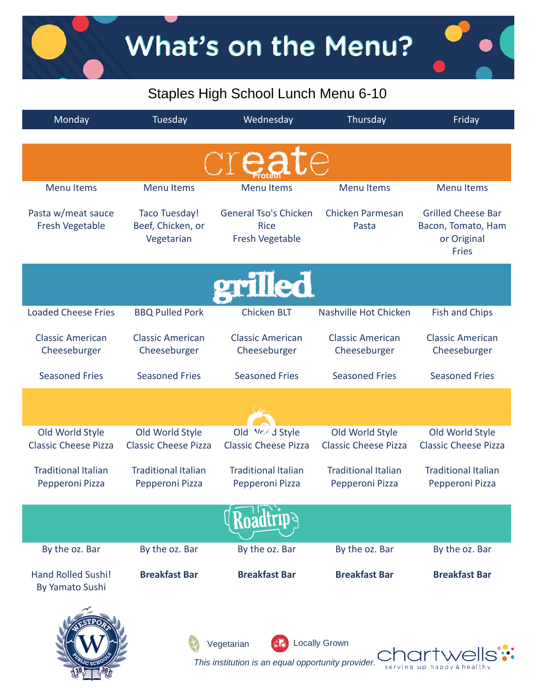What's on the Menu?

## Staples High School Lunch Menu 6-10

| Monday                                         | Tuesday                                          | Wednesday                                                        | Thursday                                       | Friday                                                                         |
|------------------------------------------------|--------------------------------------------------|------------------------------------------------------------------|------------------------------------------------|--------------------------------------------------------------------------------|
|                                                |                                                  |                                                                  |                                                |                                                                                |
| <b>Menu Items</b>                              | <b>Menu Items</b>                                | <b>Menu Items</b>                                                | <b>Menu Items</b>                              | <b>Menu Items</b>                                                              |
| Pasta w/meat sauce<br>Fresh Vegetable          | Taco Tuesday!<br>Beef, Chicken, or<br>Vegetarian | General Tso's Chicken<br><b>Rice</b><br>Fresh Vegetable          | Chicken Parmesan<br>Pasta                      | <b>Grilled Cheese Bar</b><br>Bacon, Tomato, Ham<br>or Original<br><b>Fries</b> |
|                                                |                                                  | grilled                                                          |                                                |                                                                                |
| <b>Loaded Cheese Fries</b>                     | <b>BBQ Pulled Pork</b>                           | <b>Chicken BLT</b>                                               | Nashville Hot Chicken                          | <b>Fish and Chips</b>                                                          |
| <b>Classic American</b><br>Cheeseburger        | <b>Classic American</b><br>Cheeseburger          | <b>Classic American</b><br>Cheeseburger                          | <b>Classic American</b><br>Cheeseburger        | <b>Classic American</b><br>Cheeseburger                                        |
| <b>Seasoned Fries</b>                          | <b>Seasoned Fries</b>                            | <b>Seasoned Fries</b>                                            | <b>Seasoned Fries</b>                          | <b>Seasoned Fries</b>                                                          |
|                                                |                                                  |                                                                  |                                                |                                                                                |
| Old World Style<br><b>Classic Cheese Pizza</b> | Old World Style<br><b>Classic Cheese Pizza</b>   | Old <i>Mr.r.d</i> Style<br><b>Classic Cheese Pizza</b>           | Old World Style<br><b>Classic Cheese Pizza</b> | Old World Style<br><b>Classic Cheese Pizza</b>                                 |
| <b>Traditional Italian</b><br>Pepperoni Pizza  | <b>Traditional Italian</b><br>Pepperoni Pizza    | <b>Traditional Italian</b><br>Pepperoni Pizza                    | <b>Traditional Italian</b><br>Pepperoni Pizza  | <b>Traditional Italian</b><br>Pepperoni Pizza                                  |
|                                                |                                                  |                                                                  |                                                |                                                                                |
| By the oz. Bar                                 | By the oz. Bar                                   | By the oz. Bar                                                   | By the oz. Bar                                 | By the oz. Bar                                                                 |
| <b>Hand Rolled Sushi!</b><br>By Yamato Sushi   | <b>Breakfast Bar</b>                             | <b>Breakfast Bar</b>                                             | <b>Breakfast Bar</b>                           | <b>Breakfast Bar</b>                                                           |
|                                                |                                                  | Vegetarian<br>This institution is an equal opportunity provider. | <b>Locally Grown</b>                           | chartwe                                                                        |

serving up happy & healthy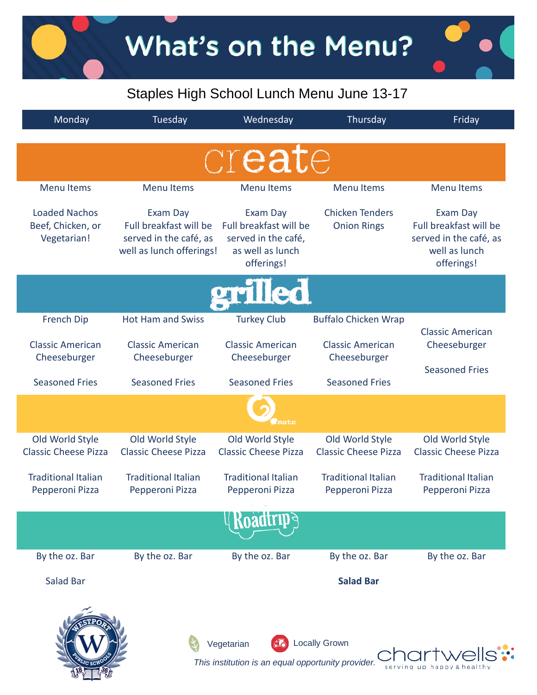What's on the Menu?

## Staples High School Lunch Menu June 13-17

| Monday                                                   | Tuesday                                                                                  | Wednesday                                                                                   | Thursday                                       | Friday                                                                                      |  |
|----------------------------------------------------------|------------------------------------------------------------------------------------------|---------------------------------------------------------------------------------------------|------------------------------------------------|---------------------------------------------------------------------------------------------|--|
|                                                          |                                                                                          | create                                                                                      |                                                |                                                                                             |  |
| <b>Menu Items</b>                                        | <b>Menu Items</b>                                                                        | <b>Menu Items</b>                                                                           | <b>Menu Items</b>                              | <b>Menu Items</b>                                                                           |  |
| <b>Loaded Nachos</b><br>Beef, Chicken, or<br>Vegetarian! | Exam Day<br>Full breakfast will be<br>served in the café, as<br>well as lunch offerings! | Exam Day<br>Full breakfast will be<br>served in the café,<br>as well as lunch<br>offerings! | <b>Chicken Tenders</b><br><b>Onion Rings</b>   | Exam Day<br>Full breakfast will be<br>served in the café, as<br>well as lunch<br>offerings! |  |
| <b>Tled</b>                                              |                                                                                          |                                                                                             |                                                |                                                                                             |  |
| <b>French Dip</b>                                        | <b>Hot Ham and Swiss</b>                                                                 | <b>Turkey Club</b>                                                                          | <b>Buffalo Chicken Wrap</b>                    | <b>Classic American</b>                                                                     |  |
| <b>Classic American</b><br>Cheeseburger                  | <b>Classic American</b><br>Cheeseburger                                                  | <b>Classic American</b><br>Cheeseburger                                                     | <b>Classic American</b><br>Cheeseburger        | Cheeseburger                                                                                |  |
| <b>Seasoned Fries</b>                                    | <b>Seasoned Fries</b>                                                                    | <b>Seasoned Fries</b>                                                                       | <b>Seasoned Fries</b>                          | <b>Seasoned Fries</b>                                                                       |  |
|                                                          |                                                                                          | nato                                                                                        |                                                |                                                                                             |  |
| Old World Style<br><b>Classic Cheese Pizza</b>           | Old World Style<br><b>Classic Cheese Pizza</b>                                           | Old World Style<br><b>Classic Cheese Pizza</b>                                              | Old World Style<br><b>Classic Cheese Pizza</b> | Old World Style<br><b>Classic Cheese Pizza</b>                                              |  |
| <b>Traditional Italian</b><br>Pepperoni Pizza            | <b>Traditional Italian</b><br>Pepperoni Pizza                                            | <b>Traditional Italian</b><br>Pepperoni Pizza                                               | <b>Traditional Italian</b><br>Pepperoni Pizza  | <b>Traditional Italian</b><br>Pepperoni Pizza                                               |  |
|                                                          |                                                                                          |                                                                                             |                                                |                                                                                             |  |
| By the oz. Bar                                           | By the oz. Bar                                                                           | By the oz. Bar                                                                              | By the oz. Bar                                 | By the oz. Bar                                                                              |  |
| <b>Salad Bar</b>                                         |                                                                                          |                                                                                             | <b>Salad Bar</b>                               |                                                                                             |  |
|                                                          |                                                                                          | Vegetarian<br>This institution is an equal opportunity provider.                            | <b>Locally Grown</b><br>serving                |                                                                                             |  |